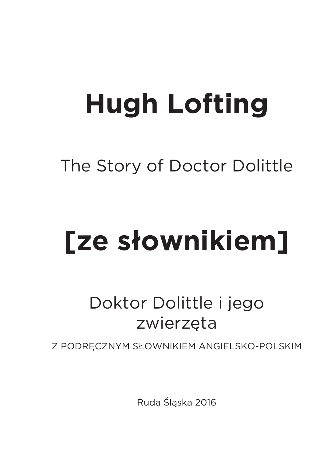## **Hugh Lofting**

## The Story of Doctor Dolittle

# **[ze słownikiem]**

### Doktor Dolittle i jego zwierzęta

Z PODRĘCZNYM SŁOWNIKIEM ANGIELSKO-POLSKIM

Ruda Śląska 2016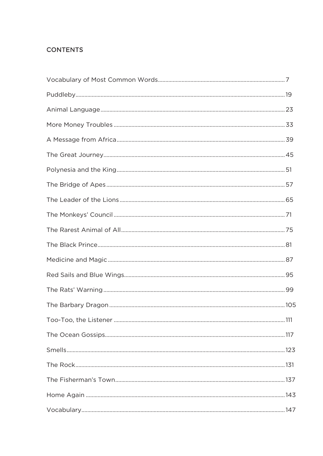#### **CONTENTS**

| 711 |
|-----|
|     |
|     |
|     |
|     |
|     |
|     |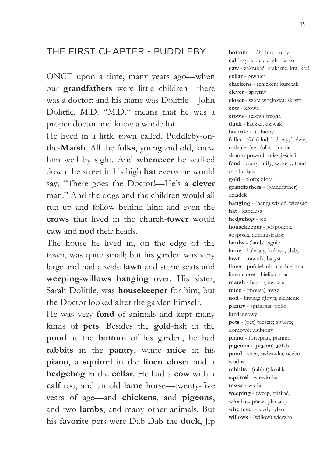#### THE FIRST CHAPTER - PUDDLEBY

ONCE upon a time, many years ago—when our **grandfathers** were little children—there was a doctor; and his name was Dolittle—John Dolittle, M.D. "M.D." means that he was a proper doctor and knew a whole lot.

He lived in a little town called, Puddleby-onthe-**Marsh**. All the **folks**, young and old, knew him well by sight. And **whenever** he walked down the street in his high **hat** everyone would say, "There goes the Doctor!—He's a **clever** man." And the dogs and the children would all run up and follow behind him; and even the **crows** that lived in the church-**tower** would **caw** and **nod** their heads.

The house he lived in, on the edge of the town, was quite small; but his garden was very large and had a wide **lawn** and stone seats and **weeping**-**willows hanging** over. His sister, Sarah Dolittle, was **housekeeper** for him; but the Doctor looked after the garden himself.

He was very **fond** of animals and kept many kinds of **pets**. Besides the **gold**-fish in the **pond** at the **bottom** of his garden, he had **rabbits** in the **pantry**, white **mice** in his **piano**, a **squirrel** in the **linen closet** and a **hedgehog** in the **cellar**. He had a **cow** with a **calf** too, and an old **lame** horse—twenty-five years of age—and **chickens**, and **pigeons**, and two **lambs**, and many other animals. But his **favorite** pets were Dab-Dab the **duck**, Jip

**bottom** - dół, dno; dolny calf - łydka, cielę, słoniątko caw - zakrakać; krakanie, kra, kra! **cellar** - piwnica **chickens** - (chicken) kurczak **clever** - sprytny closet - szafa wnękowa; skryty **cow** - krowa **crows** - (crow) wrona **duck** - kaczka, dziwak **favorite** - ulubiony **folks** - (folk) lud; ludowy; ludzie, rodzice; feet-folks - ludzie skorumpowani, zniewieściali fond - czuły, miły, szczery; fond of - lubiacy gold - złoto; złota **grandfathers** - (grandfather) dziadek hanging - (hang) wisieć, wieszać **hat** - kapelusz **hedgehog** - jeż **housekeeper** - gospodarz, gosposia, administrator lambs - (lamb) jagnię lame - kulejący, kulawy, słaby **lawn** - trawnik, batyst linen - pościel, obrusy, bielizna; linen closet - bieliźniarka **marsh** - bagno, moczar **mice** - (mouse) mysz nod - kiwnąć głową; skinienie pantry - spiżarnia, pokój kredensowy pets - (pet) pieścić; zwierzę domowe; ulubiony **piano** - fortepian, pianino pigeons - (pigeon) golab **pond** - staw, sadzawka, oczko wodne **rabbits** - (rabbit) królik **squirrel** - wiewiórka **tower** - wieża weeping - (weep) płakać, szlochać; płacz; płaczący **whenever** - kiedy tylko **willows** - (willow) wierzba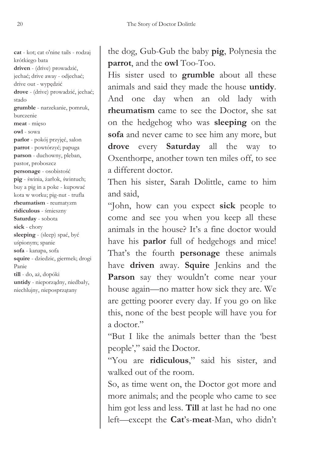**cat** - kot; cat o'nine tails - rodzaj krótkiego bata driven - (drive) prowadzić, jechać; drive away - odjechać; drive out - wypędzić drove - (drive) prowadzić, jechać; stado **grumble** - narzekanie, pomruk, burczenie meat - mieso **owl** - sowa parlor - pokój przyjęć, salon parrot - powtórzyć; papuga **parson** - duchowny, pleban, pastor, proboszcz personage - osobistość pig - świnia, żarłok, świntuch; buy a pig in a poke - kupować kota w worku; pig-nut - trufla **rheumatism** - reumatyzm ridiculous - śmieszny **Saturday** - sobota **sick** - chory sleeping - (sleep) spac, byc uśpionym; spanie **sofa** - kanapa, sofa **squire** - dziedzic, giermek; drogi Panie till - do, aż, dopóki untidy - nieporządny, niedbały, niechlujny, nieposprzątany

the dog, Gub-Gub the baby **pig**, Polynesia the **parrot**, and the **owl** Too-Too.

His sister used to **grumble** about all these animals and said they made the house **untidy**. And one day when an old lady with **rheumatism** came to see the Doctor, she sat on the hedgehog who was **sleeping** on the **sofa** and never came to see him any more, but **drove** every **Saturday** all the way to Oxenthorpe, another town ten miles off, to see a different doctor.

Then his sister, Sarah Dolittle, came to him and said,

"John, how can you expect **sick** people to come and see you when you keep all these animals in the house? It's a fine doctor would have his **parlor** full of hedgehogs and mice! That's the fourth **personage** these animals have **driven** away. **Squire** Jenkins and the Parson say they wouldn't come near your house again—no matter how sick they are. We are getting poorer every day. If you go on like this, none of the best people will have you for a doctor."

"But I like the animals better than the 'best people'," said the Doctor.

"You are **ridiculous**," said his sister, and walked out of the room.

So, as time went on, the Doctor got more and more animals; and the people who came to see him got less and less. **Till** at last he had no one left—except the **Cat**'s-**meat**-Man, who didn't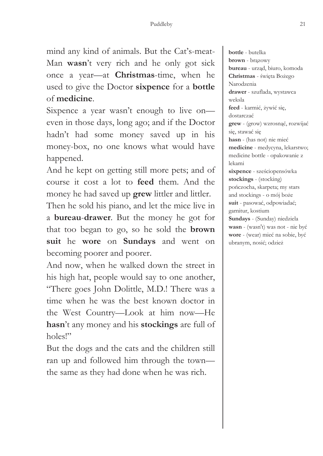mind any kind of animals. But the Cat's-meat-Man **wasn**'t very rich and he only got sick once a year—at **Christmas**-time, when he used to give the Doctor **sixpence** for a **bottle** of **medicine**.

Sixpence a year wasn't enough to live on even in those days, long ago; and if the Doctor hadn't had some money saved up in his money-box, no one knows what would have happened.

And he kept on getting still more pets; and of course it cost a lot to **feed** them. And the money he had saved up **grew** littler and littler.

Then he sold his piano, and let the mice live in a **bureau**-**drawer**. But the money he got for that too began to go, so he sold the **brown suit** he **wore** on **Sundays** and went on becoming poorer and poorer.

And now, when he walked down the street in his high hat, people would say to one another, "There goes John Dolittle, M.D.! There was a time when he was the best known doctor in the West Country—Look at him now—He **hasn**'t any money and his **stockings** are full of holes!"

But the dogs and the cats and the children still ran up and followed him through the town the same as they had done when he was rich.

**bottle** - butelka **brown** - brązowy **bureau** - urząd, biuro, komoda **Christmas** - święta Bożego Narodzenia **drawer** - szuflada, wystawca weksla **feed** - karmić, żywić się, dostarczać grew - (grow) wzrosnąć, rozwijać się, stawać się hasn - (has not) nie mieć **medicine** - medycyna, lekarstwo; medicine bottle - opakowanie z lekami sixpence - sześciopensówka **stockings** - (stocking) pończocha, skarpeta; my stars and stockings - o mój boże suit - pasować, odpowiadać; garnitur, kostium **Sundays** - (Sunday) niedziela wasn - (wasn't) was not - nie być wore - (wear) mieć na sobie, być ubranym, nosić; odzież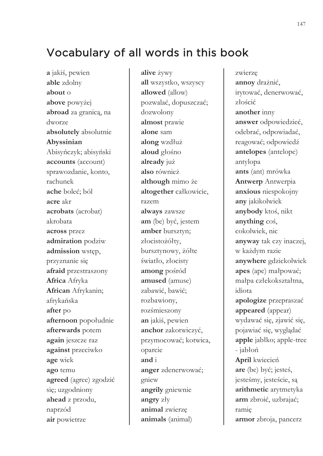### Vocabulary of all words in this book

a jakiś, pewien able zdolny about  $o$ above powyżej abroad za granica, na dworze absolutely absolutnie Abyssinian Abisyńczyk; abisyński accounts (account) sprawozdanie, konto, rachunek ache boleć: ból acre akr acrobats (acrobat) akrobata across przez admiration podziw admission wstęp, przyznanie się afraid przestraszony **Africa** Afryka African Afrykanin; afrykańska after po afternoon popoludnie afterwards potem again jeszcze raz against przeciwko age wiek ago temu agreed (agree) zgodzić się; uzgodniony ahead z przodu, naprzód air powietrze

alive *ivwy* all wszystko, wszyscy allowed (allow) pozwalać, dopuszczać; dozwolony almost prawie alone sam along wzdłuż aloud glośno already już also również although mimo że altogether calkowicie, razem always zawsze am (be) być, jestem amber bursztyn; złocistożółty, bursztynowy, żółte światło, złocisty among pośród **amused** (amuse) zabawić, bawić; rozbawiony, rozśmieszony an jakiś, pewien anchor zakotwiczyć, przymocować; kotwica, oparcie and i anger zdenerwować; gniew angrily gniewnie angry zły animal zwierze animals (animal)

zwierze annoy drażnić, irytować, denerwować, złościć another inny answer odpowiedzieć, odebrać, odpowiadać, reagować; odpowiedź **antelopes** (antelope) antylopa ants (ant) mrówka **Antwerp** Antwerpia anxious niespokojny any jakikolwiek anybody ktoś, nikt anything cos, cokolwiek, nic anyway tak czy inaczej, w każdym razie anywhere gdziekolwiek apes (ape) małpować; małpa człekokształtna, idiota apologize przepraszać appeared (appear) wydawać się, zjawić się, pojawiać się, wyglądać **apple** jablko; apple-tree - jabłoń April kwiecień are (be) być; jesteś, jesteśmy, jesteście, są arithmetic arytmetyka arm zbroić, uzbrajać; ramie armor zbroja, pancerz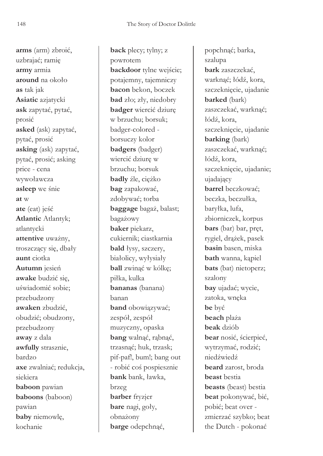arms (arm) zbroić, uzbrajać; ramię army armia around na około as tak jak Asiatic azjatycki ask zapytać, pytać, prosić asked (ask) zapytać, pytać, prosić asking (ask) zapytać, pytać, prosić; asking price - cena wywoławcza asleep we śnie at w ate (eat) jeść **Atlantic Atlantyk;** atlantycki attentive uważny, troszczący się, dbały aunt ciotka Autumn jesień awake budzić sie. uświadomić sobie; przebudzony awaken zbudzić, obudzić; obudzony, przebudzony away z dala awfully strasznie, bardzo axe zwalniać; redukcja, siekiera baboon pawian baboons (baboon) pawian baby niemowlę, kochanie

back plecy; tylny; z powrotem backdoor tylne wejście; potajemny, tajemniczy bacon bekon, boczek bad zło; zły, niedobry badger wiercić dziurę w brzuchu; borsuk; badger-colored borsuczy kolor badgers (badger) wiercić dziure w brzuchu; borsuk badly źle, ciężko bag zapakować, zdobywać; torba baggage bagaż, balast; bagażowy baker piekarz, cukiernik; ciastkarnia bald lysy, szczery, białolicy, wyłysiały ball zwinąć w kólkę; piłka, kulka bananas (banana) banan band obowiązywać; zespół, zespół muzyczny, opaska bang walnąć, rąbnąć, trzasnąć; huk, trzask; pif-paf!, bum!; bang out - robić coś pospiesznie bank bank, lawka, brzeg barber fryzjer bare nagi, goly, obnażony barge odepchnąć,

popchnąć; barka, szalupa bark zaszczekać, warknąć; łódź, kora, szczeknięcie, ujadanie barked (bark) zaszczekać, warknać: łódź, kora, szczeknięcie, ujadanie **barking** (bark) zaszczekać, warknąć; łódź, kora, szczeknięcie, ujadanie; ujadający barrel beczkować; beczka, beczułka, barylka, lufa, zbiorniczek, korpus bars (bar) bar, pret, rygiel, drążek, pasek basin basen, miska bath wanna, kapiel bats (bat) nietoperz; szalony bay ujadać; wycie, zatoka, wnęka be być beach plaża beak dziób bear nosić, ścierpieć, wytrzymać, rodzić; niedźwiedź beard zarost, broda **heast** bestia **beasts** (beast) bestia beat pokonywać, bić, pobić; beat over zmierzać szybko; beat the Dutch - pokonać